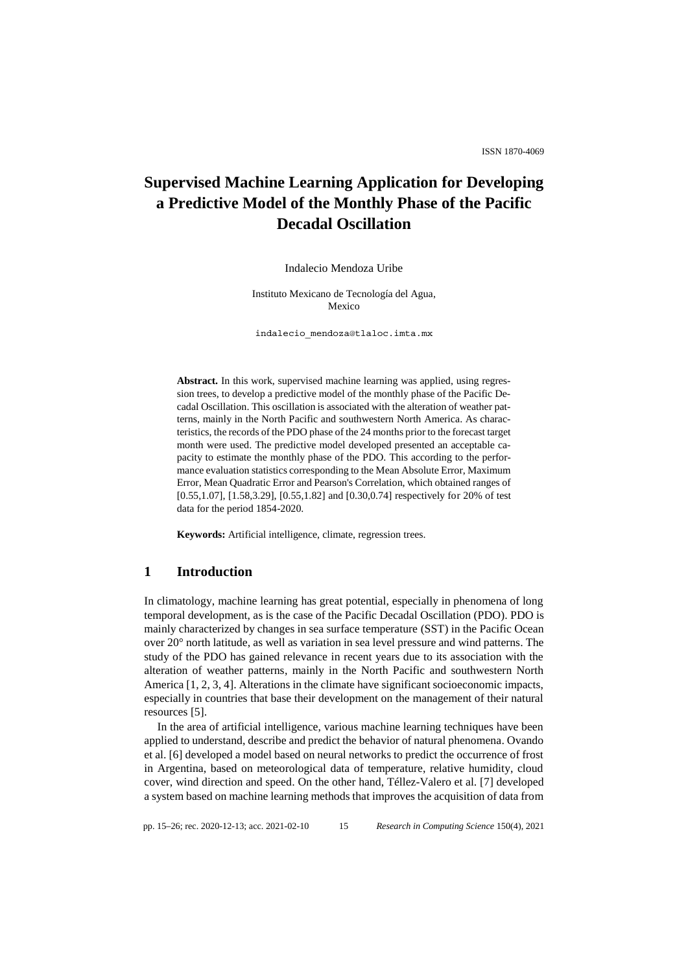# **Supervised Machine Learning Application for Developing a Predictive Model of the Monthly Phase of the Pacific Decadal Oscillation**

Indalecio Mendoza Uribe

Instituto Mexicano de Tecnología del Agua, Mexico

indalecio\_mendoza@tlaloc.imta.mx

**Abstract.** In this work, supervised machine learning was applied, using regression trees, to develop a predictive model of the monthly phase of the Pacific Decadal Oscillation. This oscillation is associated with the alteration of weather patterns, mainly in the North Pacific and southwestern North America. As characteristics, the records of the PDO phase of the 24 months prior to the forecast target month were used. The predictive model developed presented an acceptable capacity to estimate the monthly phase of the PDO. This according to the performance evaluation statistics corresponding to the Mean Absolute Error, Maximum Error, Mean Quadratic Error and Pearson's Correlation, which obtained ranges of [0.55,1.07], [1.58,3.29], [0.55,1.82] and [0.30,0.74] respectively for 20% of test data for the period 1854-2020.

**Keywords:** Artificial intelligence, climate, regression trees.

### **1 Introduction**

In climatology, machine learning has great potential, especially in phenomena of long temporal development, as is the case of the Pacific Decadal Oscillation (PDO). PDO is mainly characterized by changes in sea surface temperature (SST) in the Pacific Ocean over 20° north latitude, as well as variation in sea level pressure and wind patterns. The study of the PDO has gained relevance in recent years due to its association with the alteration of weather patterns, mainly in the North Pacific and southwestern North America [1, 2, 3, 4]. Alterations in the climate have significant socioeconomic impacts, especially in countries that base their development on the management of their natural resources [5].

In the area of artificial intelligence, various machine learning techniques have been applied to understand, describe and predict the behavior of natural phenomena. Ovando et al. [6] developed a model based on neural networks to predict the occurrence of frost in Argentina, based on meteorological data of temperature, relative humidity, cloud cover, wind direction and speed. On the other hand, Téllez-Valero et al. [7] developed a system based on machine learning methods that improves the acquisition of data from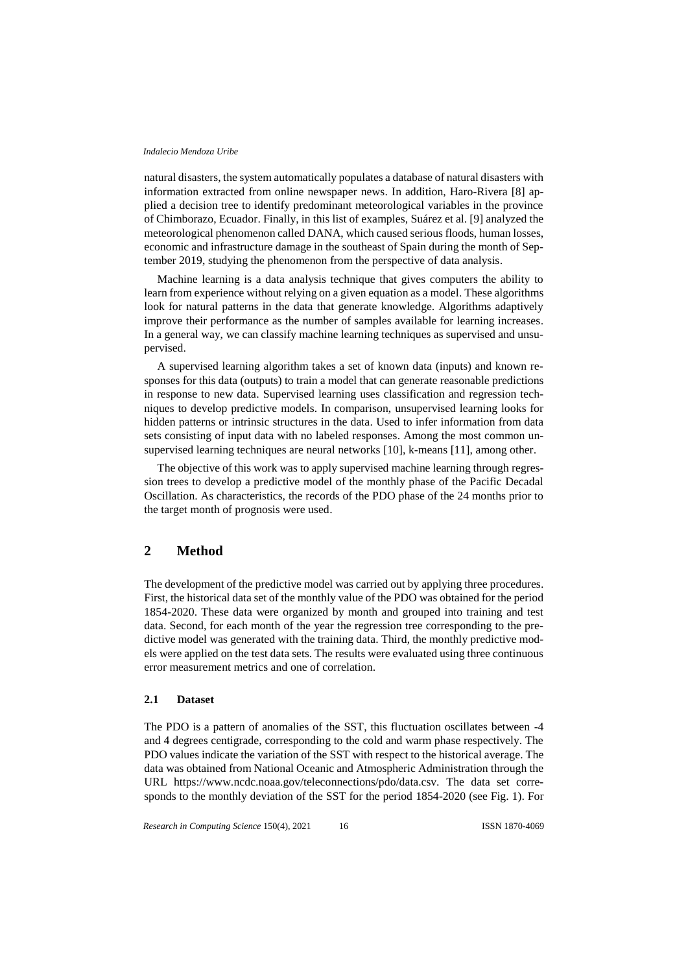natural disasters, the system automatically populates a database of natural disasters with information extracted from online newspaper news. In addition, Haro-Rivera [8] applied a decision tree to identify predominant meteorological variables in the province of Chimborazo, Ecuador. Finally, in this list of examples, Suárez et al. [9] analyzed the meteorological phenomenon called DANA, which caused serious floods, human losses, economic and infrastructure damage in the southeast of Spain during the month of September 2019, studying the phenomenon from the perspective of data analysis.

Machine learning is a data analysis technique that gives computers the ability to learn from experience without relying on a given equation as a model. These algorithms look for natural patterns in the data that generate knowledge. Algorithms adaptively improve their performance as the number of samples available for learning increases. In a general way, we can classify machine learning techniques as supervised and unsupervised.

A supervised learning algorithm takes a set of known data (inputs) and known responses for this data (outputs) to train a model that can generate reasonable predictions in response to new data. Supervised learning uses classification and regression techniques to develop predictive models. In comparison, unsupervised learning looks for hidden patterns or intrinsic structures in the data. Used to infer information from data sets consisting of input data with no labeled responses. Among the most common unsupervised learning techniques are neural networks [10], k-means [11], among other.

The objective of this work was to apply supervised machine learning through regression trees to develop a predictive model of the monthly phase of the Pacific Decadal Oscillation. As characteristics, the records of the PDO phase of the 24 months prior to the target month of prognosis were used.

# **2 Method**

The development of the predictive model was carried out by applying three procedures. First, the historical data set of the monthly value of the PDO was obtained for the period 1854-2020. These data were organized by month and grouped into training and test data. Second, for each month of the year the regression tree corresponding to the predictive model was generated with the training data. Third, the monthly predictive models were applied on the test data sets. The results were evaluated using three continuous error measurement metrics and one of correlation.

#### **2.1 Dataset**

The PDO is a pattern of anomalies of the SST, this fluctuation oscillates between -4 and 4 degrees centigrade, corresponding to the cold and warm phase respectively. The PDO values indicate the variation of the SST with respect to the historical average. The data was obtained from National Oceanic and Atmospheric Administration through the URL https://www.ncdc.noaa.gov/teleconnections/pdo/data.csv. The data set corresponds to the monthly deviation of the SST for the period 1854-2020 (see Fig. 1). For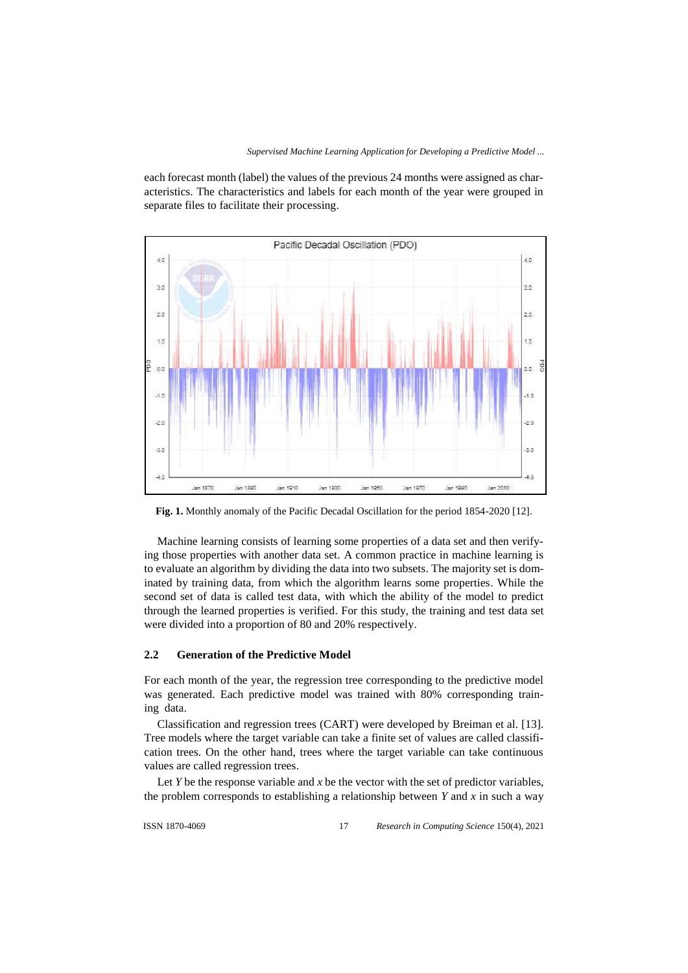each forecast month (label) the values of the previous 24 months were assigned as characteristics. The characteristics and labels for each month of the year were grouped in separate files to facilitate their processing.



**Fig. 1.** Monthly anomaly of the Pacific Decadal Oscillation for the period 1854-2020 [12].

Machine learning consists of learning some properties of a data set and then verifying those properties with another data set. A common practice in machine learning is to evaluate an algorithm by dividing the data into two subsets. The majority set is dominated by training data, from which the algorithm learns some properties. While the second set of data is called test data, with which the ability of the model to predict through the learned properties is verified. For this study, the training and test data set were divided into a proportion of 80 and 20% respectively.

### **2.2 Generation of the Predictive Model**

For each month of the year, the regression tree corresponding to the predictive model was generated. Each predictive model was trained with 80% corresponding training data.

Classification and regression trees (CART) were developed by Breiman et al. [13]. Tree models where the target variable can take a finite set of values are called classification trees. On the other hand, trees where the target variable can take continuous values are called regression trees.

Let  $Y$  be the response variable and  $x$  be the vector with the set of predictor variables, the problem corresponds to establishing a relationship between *Y* and *x* in such a way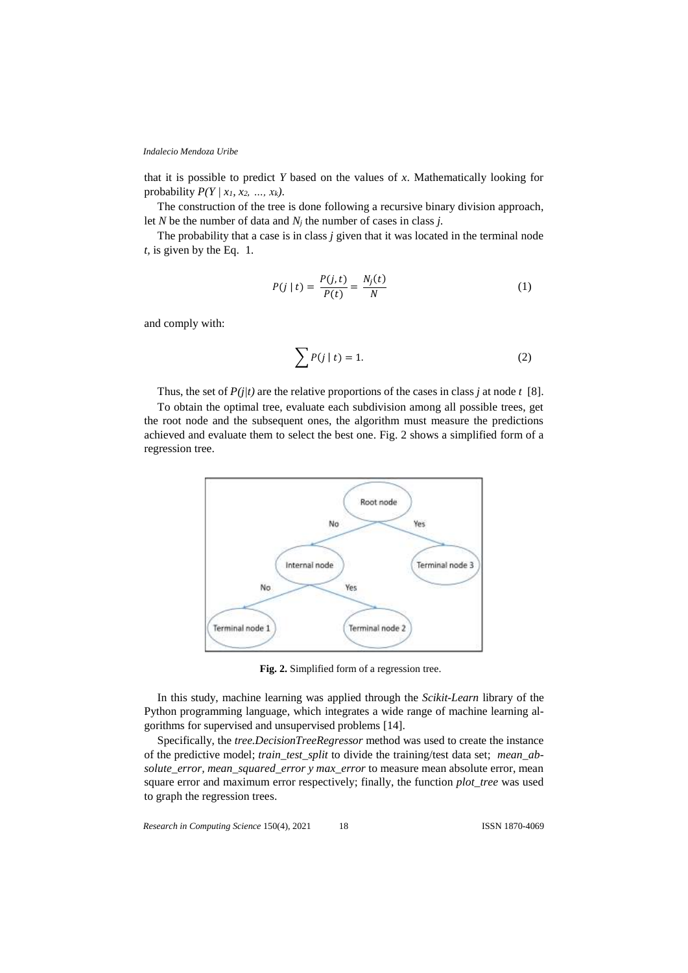that it is possible to predict *Y* based on the values of *x*. Mathematically looking for probability  $P(Y | x_1, x_2, ..., x_k)$ .

The construction of the tree is done following a recursive binary division approach, let *N* be the number of data and *N<sup>j</sup>* the number of cases in class *j.* 

The probability that a case is in class *j* given that it was located in the terminal node *t,* is given by the Eq. 1*.*

$$
P(j \mid t) = \frac{P(j, t)}{P(t)} = \frac{N_j(t)}{N} \tag{1}
$$

and comply with:

$$
\sum P(j \mid t) = 1. \tag{2}
$$

Thus, the set of  $P(j|t)$  are the relative proportions of the cases in class *j* at node *t* [8].

To obtain the optimal tree, evaluate each subdivision among all possible trees, get the root node and the subsequent ones, the algorithm must measure the predictions achieved and evaluate them to select the best one. Fig. 2 shows a simplified form of a regression tree.



**Fig. 2.** Simplified form of a regression tree.

In this study, machine learning was applied through the *Scikit-Learn* library of the Python programming language, which integrates a wide range of machine learning algorithms for supervised and unsupervised problems [14].

Specifically, the *tree.DecisionTreeRegressor* method was used to create the instance of the predictive model; *train\_test\_split* to divide the training/test data set; *mean\_absolute\_error, mean\_squared\_error y max\_error* to measure mean absolute error, mean square error and maximum error respectively; finally, the function *plot tree* was used to graph the regression trees.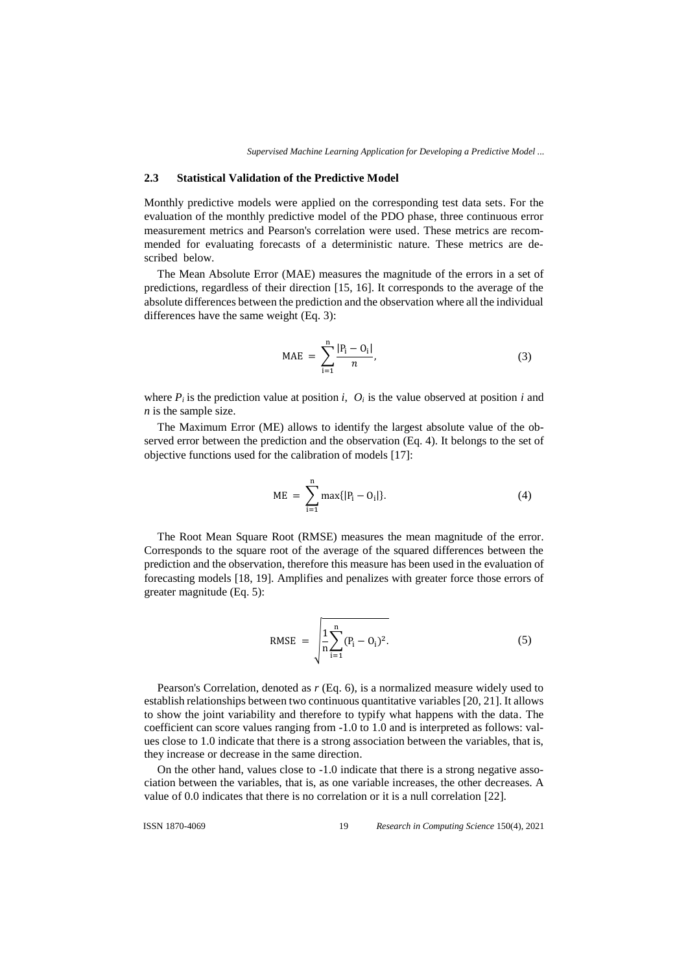#### **2.3 Statistical Validation of the Predictive Model**

Monthly predictive models were applied on the corresponding test data sets. For the evaluation of the monthly predictive model of the PDO phase, three continuous error measurement metrics and Pearson's correlation were used. These metrics are recommended for evaluating forecasts of a deterministic nature. These metrics are described below.

The Mean Absolute Error (MAE) measures the magnitude of the errors in a set of predictions, regardless of their direction [15, 16]. It corresponds to the average of the absolute differences between the prediction and the observation where all the individual differences have the same weight (Eq. 3):

$$
MAE = \sum_{i=1}^{n} \frac{|P_i - O_i|}{n},
$$
\n(3)

where  $P_i$  is the prediction value at position *i*,  $O_i$  is the value observed at position *i* and *n* is the sample size.

The Maximum Error (ME) allows to identify the largest absolute value of the observed error between the prediction and the observation (Eq. 4). It belongs to the set of objective functions used for the calibration of models [17]:

$$
ME = \sum_{i=1}^{n} \max\{|P_i - O_i|\}.
$$
 (4)

The Root Mean Square Root (RMSE) measures the mean magnitude of the error. Corresponds to the square root of the average of the squared differences between the prediction and the observation, therefore this measure has been used in the evaluation of forecasting models [18, 19]. Amplifies and penalizes with greater force those errors of greater magnitude (Eq. 5):

RMSE = 
$$
\sqrt{\frac{1}{n} \sum_{i=1}^{n} (P_i - O_i)^2}.
$$
 (5)

Pearson's Correlation, denoted as *r* (Eq. 6), is a normalized measure widely used to establish relationships between two continuous quantitative variables [20, 21]. It allows to show the joint variability and therefore to typify what happens with the data. The coefficient can score values ranging from -1.0 to 1.0 and is interpreted as follows: values close to 1.0 indicate that there is a strong association between the variables, that is, they increase or decrease in the same direction.

On the other hand, values close to -1.0 indicate that there is a strong negative association between the variables, that is, as one variable increases, the other decreases. A value of 0.0 indicates that there is no correlation or it is a null correlation [22].

ISSN 1870-4069 *Research in Computing Science* 150(4), 2021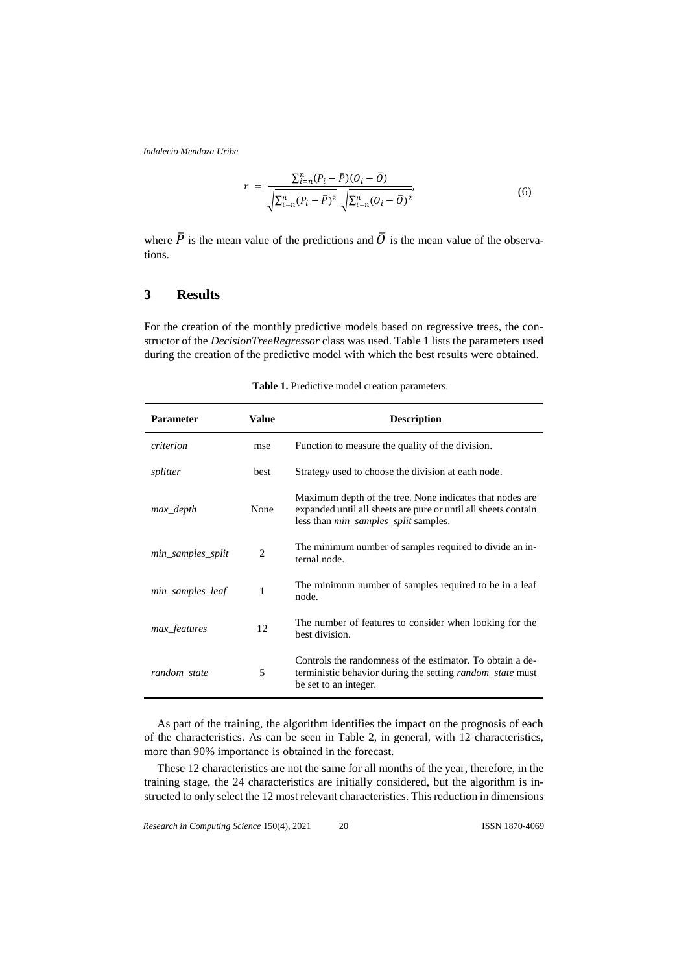$$
r = \frac{\sum_{i=n}^{n} (P_i - \bar{P})(O_i - \bar{O})}{\sqrt{\sum_{i=n}^{n} (P_i - \bar{P})^2} \sqrt{\sum_{i=n}^{n} (O_i - \bar{O})^2}},\tag{6}
$$

where  $\overline{P}$  is the mean value of the predictions and  $\overline{O}$  is the mean value of the observations.

# **3 Results**

For the creation of the monthly predictive models based on regressive trees, the constructor of the *DecisionTreeRegressor* class was used. Table 1 lists the parameters used during the creation of the predictive model with which the best results were obtained.

| <b>Parameter</b>  | <b>Value</b>   | <b>Description</b>                                                                                                                                                        |
|-------------------|----------------|---------------------------------------------------------------------------------------------------------------------------------------------------------------------------|
| criterion         | mse            | Function to measure the quality of the division.                                                                                                                          |
| splitter          | best           | Strategy used to choose the division at each node.                                                                                                                        |
| max_depth         | None           | Maximum depth of the tree. None indicates that nodes are<br>expanded until all sheets are pure or until all sheets contain<br>less than <i>min_samples_split</i> samples. |
| min_samples_split | $\overline{c}$ | The minimum number of samples required to divide an in-<br>ternal node.                                                                                                   |
| min_samples_leaf  | 1              | The minimum number of samples required to be in a leaf<br>node.                                                                                                           |
| max_features      | 12             | The number of features to consider when looking for the<br>best division.                                                                                                 |
| random_state      | 5              | Controls the randomness of the estimator. To obtain a de-<br>terministic behavior during the setting <i>random_state</i> must<br>be set to an integer.                    |

**Table 1.** Predictive model creation parameters.

As part of the training, the algorithm identifies the impact on the prognosis of each of the characteristics. As can be seen in Table 2, in general, with 12 characteristics, more than 90% importance is obtained in the forecast.

These 12 characteristics are not the same for all months of the year, therefore, in the training stage, the 24 characteristics are initially considered, but the algorithm is instructed to only select the 12 most relevant characteristics. This reduction in dimensions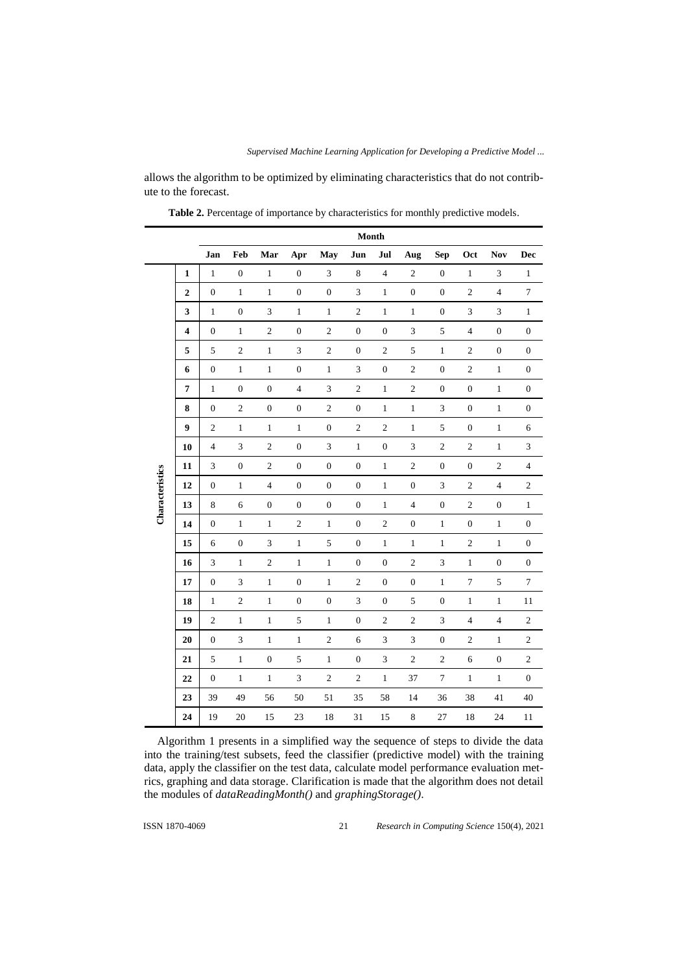allows the algorithm to be optimized by eliminating characteristics that do not contribute to the forecast.

|                 |                         | Month                       |                  |                         |                  |                         |                             |                             |                             |                             |                  |                  |                  |
|-----------------|-------------------------|-----------------------------|------------------|-------------------------|------------------|-------------------------|-----------------------------|-----------------------------|-----------------------------|-----------------------------|------------------|------------------|------------------|
|                 |                         | Jan                         | Feb              | Mar                     | Apr              | May                     | Jun                         | Jul                         | Aug                         | <b>Sep</b>                  | Oct              | Nov              | Dec              |
| Characteristics | $\mathbf{1}$            | $\mathbf 1$                 | $\boldsymbol{0}$ | $\,1\,$                 | $\boldsymbol{0}$ | $\mathfrak{Z}$          | $\,8\,$                     | $\sqrt{4}$                  | $\overline{c}$              | $\boldsymbol{0}$            | $1\,$            | $\mathfrak{Z}$   | $\mathbf{1}$     |
|                 | $\overline{\mathbf{c}}$ | $\boldsymbol{0}$            | $1\,$            | $\mathbf{1}$            | $\boldsymbol{0}$ | $\boldsymbol{0}$        | $\ensuremath{\mathfrak{Z}}$ | $\,1\,$                     | $\boldsymbol{0}$            | $\boldsymbol{0}$            | $\sqrt{2}$       | $\overline{4}$   | $\boldsymbol{7}$ |
|                 | 3                       | $\mathbf{1}$                | $\boldsymbol{0}$ | $\sqrt{3}$              | $\mathbf{1}$     | $\mathbf{1}$            | $\overline{c}$              | $\,1\,$                     | $\mathbf{1}$                | $\boldsymbol{0}$            | $\mathfrak{Z}$   | $\mathfrak 3$    | $\,1$            |
|                 | 4                       | $\boldsymbol{0}$            | $\mathbf{1}$     | $\sqrt{2}$              | $\boldsymbol{0}$ | $\sqrt{2}$              | $\boldsymbol{0}$            | $\boldsymbol{0}$            | $\ensuremath{\mathfrak{Z}}$ | 5                           | $\overline{4}$   | $\boldsymbol{0}$ | $\boldsymbol{0}$ |
|                 | 5                       | 5                           | $\sqrt{2}$       | $\mathbf{1}$            | $\mathfrak 3$    | $\sqrt{2}$              | $\boldsymbol{0}$            | $\sqrt{2}$                  | 5                           | $\mathbf{1}$                | $\sqrt{2}$       | $\boldsymbol{0}$ | $\boldsymbol{0}$ |
|                 | 6                       | $\boldsymbol{0}$            | $1\,$            | $\mathbf{1}$            | $\boldsymbol{0}$ | $\mathbf{1}$            | $\sqrt{3}$                  | $\boldsymbol{0}$            | $\sqrt{2}$                  | $\boldsymbol{0}$            | $\sqrt{2}$       | $\mathbf{1}$     | $\boldsymbol{0}$ |
|                 | $\overline{7}$          | $\mathbf 1$                 | $\boldsymbol{0}$ | $\boldsymbol{0}$        | $\overline{4}$   | $\overline{3}$          | $\sqrt{2}$                  | $\,1$                       | $\overline{c}$              | $\boldsymbol{0}$            | $\boldsymbol{0}$ | $\mathbf{1}$     | $\boldsymbol{0}$ |
|                 | 8                       | $\boldsymbol{0}$            | $\sqrt{2}$       | $\boldsymbol{0}$        | $\boldsymbol{0}$ | $\sqrt{2}$              | $\boldsymbol{0}$            | $\mathbf{1}$                | $\mathbf{1}$                | 3                           | $\boldsymbol{0}$ | 1                | $\boldsymbol{0}$ |
|                 | 9                       | $\sqrt{2}$                  | $\mathbf{1}$     | $\,1$                   | $\,1$            | $\boldsymbol{0}$        | $\overline{c}$              | $\sqrt{2}$                  | $\mathbf{1}$                | 5                           | $\boldsymbol{0}$ | $\mathbf{1}$     | $\sqrt{6}$       |
|                 | 10                      | $\overline{4}$              | $\overline{3}$   | $\sqrt{2}$              | $\boldsymbol{0}$ | $\mathfrak{Z}$          | $\mathbf 1$                 | $\boldsymbol{0}$            | 3                           | $\sqrt{2}$                  | $\sqrt{2}$       | $1\,$            | $\mathfrak{Z}$   |
|                 | 11                      | $\mathfrak{Z}$              | $\boldsymbol{0}$ | $\sqrt{2}$              | $\boldsymbol{0}$ | $\boldsymbol{0}$        | $\boldsymbol{0}$            | $\,1$                       | $\overline{c}$              | $\boldsymbol{0}$            | $\boldsymbol{0}$ | $\sqrt{2}$       | $\sqrt{4}$       |
|                 | 12                      | $\boldsymbol{0}$            | $\,1$            | $\overline{\mathbf{4}}$ | $\boldsymbol{0}$ | $\boldsymbol{0}$        | $\boldsymbol{0}$            | $\mathbf{1}$                | $\boldsymbol{0}$            | $\ensuremath{\mathfrak{Z}}$ | $\sqrt{2}$       | $\overline{4}$   | $\sqrt{2}$       |
|                 | 13                      | 8                           | 6                | $\boldsymbol{0}$        | $\boldsymbol{0}$ | $\boldsymbol{0}$        | $\boldsymbol{0}$            | $\,1$                       | $\overline{\mathbf{4}}$     | $\boldsymbol{0}$            | $\sqrt{2}$       | $\boldsymbol{0}$ | $\mathbf{1}$     |
|                 | 14                      | $\boldsymbol{0}$            | $1\,$            | $\mathbf{1}$            | $\sqrt{2}$       | $\mathbf 1$             | $\boldsymbol{0}$            | $\overline{2}$              | $\boldsymbol{0}$            | $\,1\,$                     | $\boldsymbol{0}$ | $\mathbf{1}$     | $\boldsymbol{0}$ |
|                 | 15                      | 6                           | $\boldsymbol{0}$ | $\overline{3}$          | $\mathbf{1}$     | 5                       | $\boldsymbol{0}$            | $\mathbf 1$                 | $\mathbf{1}$                | $\,1$                       | $\sqrt{2}$       | $\mathbf{1}$     | $\boldsymbol{0}$ |
|                 | 16                      | $\ensuremath{\mathfrak{Z}}$ | $\mathbf{1}$     | $\sqrt{2}$              | $\mathbf{1}$     | $\mathbf 1$             | $\boldsymbol{0}$            | $\boldsymbol{0}$            | $\overline{\mathbf{c}}$     | $\mathfrak{Z}$              | $\mathbf{1}$     | $\boldsymbol{0}$ | $\boldsymbol{0}$ |
|                 | 17                      | $\boldsymbol{0}$            | $\mathfrak{Z}$   | $\mathbf{1}$            | $\boldsymbol{0}$ | $\mathbf{1}$            | $\sqrt{2}$                  | $\boldsymbol{0}$            | $\boldsymbol{0}$            | $\mathbf{1}$                | $\boldsymbol{7}$ | 5                | $\tau$           |
|                 | 18                      | $\,1\,$                     | $\sqrt{2}$       | $\,1$                   | $\boldsymbol{0}$ | $\boldsymbol{0}$        | $\mathfrak{Z}$              | $\boldsymbol{0}$            | $\mathfrak s$               | $\boldsymbol{0}$            | $\,1$            | $\,1$            | $11\,$           |
|                 | 19                      | $\sqrt{2}$                  | $\,1$            | $\,1$                   | 5                | $\mathbf 1$             | $\boldsymbol{0}$            | $\sqrt{2}$                  | $\overline{\mathbf{c}}$     | $\ensuremath{\mathfrak{Z}}$ | $\overline{4}$   | $\overline{4}$   | $\sqrt{2}$       |
|                 | 20                      | $\boldsymbol{0}$            | 3                | $\mathbf{1}$            | $\mathbf{1}$     | $\overline{\mathbf{c}}$ | 6                           | $\ensuremath{\mathfrak{Z}}$ | $\mathfrak 3$               | $\mathbf{0}$                | $\sqrt{2}$       | $\mathbf{1}$     | $\sqrt{2}$       |
|                 | 21                      | 5                           | $\mathbf{1}$     | $\boldsymbol{0}$        | 5                | $\,1\,$                 | $\boldsymbol{0}$            | $\ensuremath{\mathfrak{Z}}$ | $\sqrt{2}$                  | $\sqrt{2}$                  | 6                | $\boldsymbol{0}$ | $\sqrt{2}$       |
|                 | 22                      | $\boldsymbol{0}$            | $\,1$            | $\mathbf{1}$            | $\mathfrak{Z}$   | $\overline{\mathbf{c}}$ | $\sqrt{2}$                  | $\,1$                       | 37                          | $\boldsymbol{7}$            | $\mathbf{1}$     | $\mathbf{1}$     | $\boldsymbol{0}$ |
|                 | 23                      | 39                          | 49               | 56                      | 50               | 51                      | 35                          | 58                          | 14                          | 36                          | 38               | 41               | 40               |
|                 | 24                      | 19                          | 20               | 15                      | 23               | 18                      | 31                          | 15                          | $\,$ 8 $\,$                 | 27                          | 18               | 24               | 11               |

**Table 2.** Percentage of importance by characteristics for monthly predictive models.

Algorithm 1 presents in a simplified way the sequence of steps to divide the data into the training/test subsets, feed the classifier (predictive model) with the training data, apply the classifier on the test data, calculate model performance evaluation metrics, graphing and data storage. Clarification is made that the algorithm does not detail the modules of *dataReadingMonth()* and *graphingStorage()*.

 ISSN 1870-4069 *Research in Computing Science* 150(4), 2021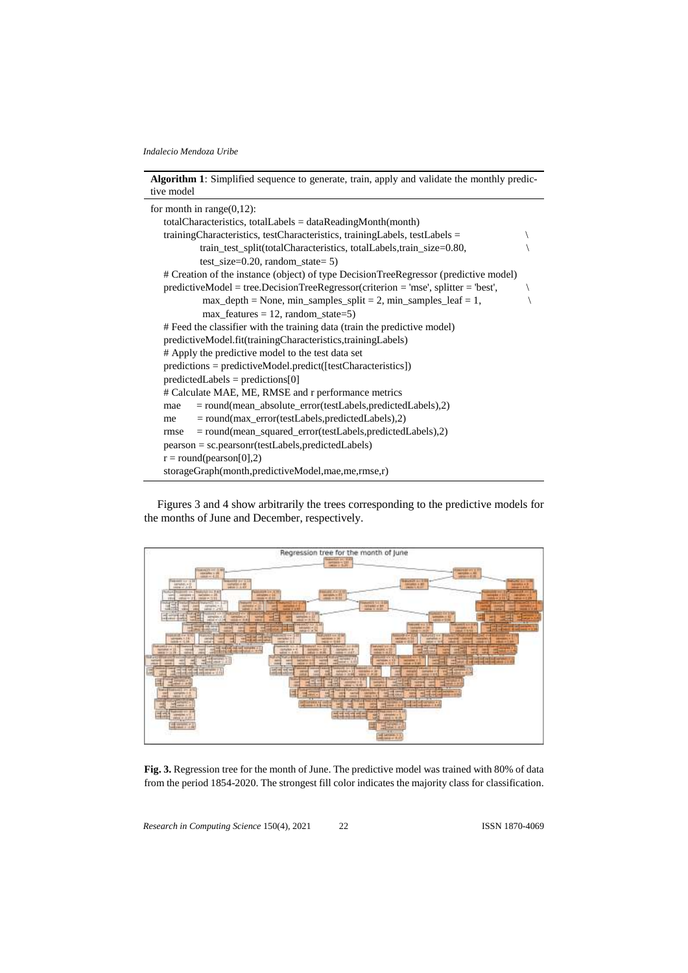

Figures 3 and 4 show arbitrarily the trees corresponding to the predictive models for the months of June and December, respectively.



**Fig. 3.** Regression tree for the month of June. The predictive model was trained with 80% of data from the period 1854-2020. The strongest fill color indicates the majority class for classification.

*Research in Computing Science* 150(4), 2021 22 **ISSN 1870-4069**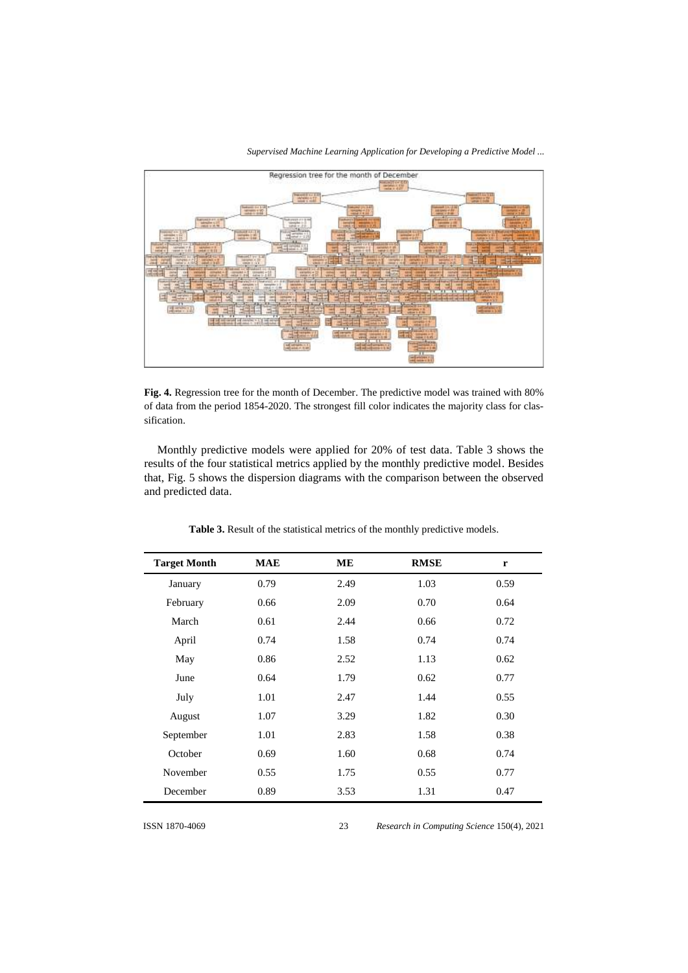

*Supervised Machine Learning Application for Developing a Predictive Model ...*

**Fig. 4.** Regression tree for the month of December. The predictive model was trained with 80% of data from the period 1854-2020. The strongest fill color indicates the majority class for classification.

Monthly predictive models were applied for 20% of test data. Table 3 shows the results of the four statistical metrics applied by the monthly predictive model. Besides that, Fig. 5 shows the dispersion diagrams with the comparison between the observed and predicted data.

| <b>Target Month</b> | <b>MAE</b> | <b>ME</b> | <b>RMSE</b> | $\mathbf r$ |
|---------------------|------------|-----------|-------------|-------------|
| January             | 0.79       | 2.49      | 1.03        | 0.59        |
| February            | 0.66       | 2.09      | 0.70        | 0.64        |
| March               | 0.61       | 2.44      | 0.66        | 0.72        |
| April               | 0.74       | 1.58      | 0.74        | 0.74        |
| May                 | 0.86       | 2.52      | 1.13        | 0.62        |
| June                | 0.64       | 1.79      | 0.62        | 0.77        |
| July                | 1.01       | 2.47      | 1.44        | 0.55        |
| August              | 1.07       | 3.29      | 1.82        | 0.30        |
| September           | 1.01       | 2.83      | 1.58        | 0.38        |
| October             | 0.69       | 1.60      | 0.68        | 0.74        |
| November            | 0.55       | 1.75      | 0.55        | 0.77        |
| December            | 0.89       | 3.53      | 1.31        | 0.47        |

23

**Table 3.** Result of the statistical metrics of the monthly predictive models.

ISSN 1870-4069 *Research in Computing Science* 150(4), 2021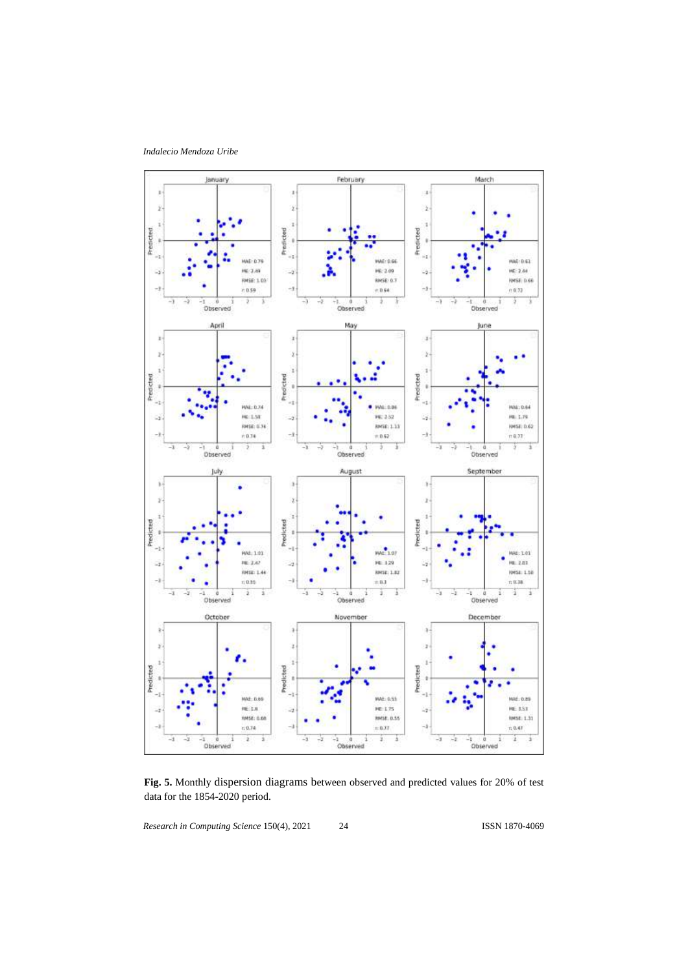*Indalecio Mendoza Uribe*



**Fig. 5.** Monthly dispersion diagrams between observed and predicted values for 20% of test data for the 1854-2020 period.

*Research in Computing Science* 150(4), 2021 24 **ISSN 1870-4069** 

24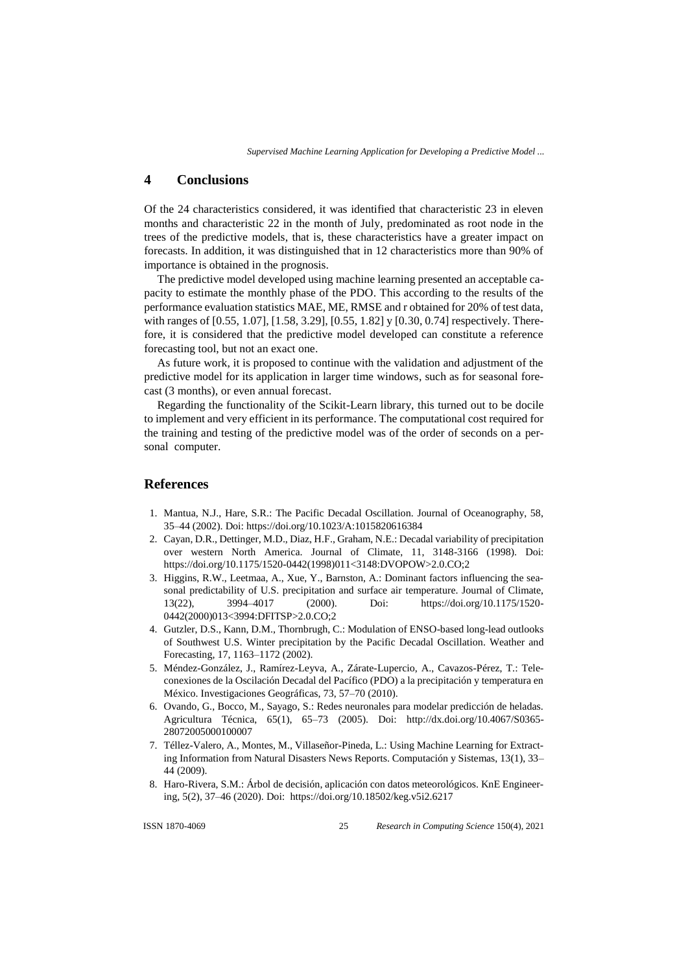# **4 Conclusions**

Of the 24 characteristics considered, it was identified that characteristic 23 in eleven months and characteristic 22 in the month of July, predominated as root node in the trees of the predictive models, that is, these characteristics have a greater impact on forecasts. In addition, it was distinguished that in 12 characteristics more than 90% of importance is obtained in the prognosis.

The predictive model developed using machine learning presented an acceptable capacity to estimate the monthly phase of the PDO. This according to the results of the performance evaluation statistics MAE, ME, RMSE and r obtained for 20% of test data, with ranges of [0.55, 1.07], [1.58, 3.29], [0.55, 1.82] y [0.30, 0.74] respectively. Therefore, it is considered that the predictive model developed can constitute a reference forecasting tool, but not an exact one.

As future work, it is proposed to continue with the validation and adjustment of the predictive model for its application in larger time windows, such as for seasonal forecast (3 months), or even annual forecast.

Regarding the functionality of the Scikit-Learn library, this turned out to be docile to implement and very efficient in its performance. The computational cost required for the training and testing of the predictive model was of the order of seconds on a personal computer.

### **References**

- 1. Mantua, N.J., Hare, S.R.: The Pacific Decadal Oscillation. Journal of Oceanography, 58, 35–44 (2002). Doi: https://doi.org/10.1023/A:1015820616384
- 2. Cayan, D.R., Dettinger, M.D., Diaz, H.F., Graham, N.E.: Decadal variability of precipitation over western North America. Journal of Climate, 11, 3148-3166 (1998). Doi: https://doi.org/10.1175/1520-0442(1998)011<3148:DVOPOW>2.0.CO;2
- 3. Higgins, R.W., Leetmaa, A., Xue, Y., Barnston, A.: Dominant factors influencing the seasonal predictability of U.S. precipitation and surface air temperature. Journal of Climate, 13(22), 3994–4017 (2000). Doi: https://doi.org/10.1175/1520- 0442(2000)013<3994:DFITSP>2.0.CO;2
- 4. Gutzler, D.S., Kann, D.M., Thornbrugh, C.: Modulation of ENSO-based long-lead outlooks of Southwest U.S. Winter precipitation by the Pacific Decadal Oscillation. Weather and Forecasting, 17, 1163–1172 (2002).
- 5. Méndez-González, J., Ramírez-Leyva, A., Zárate-Lupercio, A., Cavazos-Pérez, T.: Teleconexiones de la Oscilación Decadal del Pacífico (PDO) a la precipitación y temperatura en México. Investigaciones Geográficas, 73, 57–70 (2010).
- 6. Ovando, G., Bocco, M., Sayago, S.: Redes neuronales para modelar predicción de heladas. Agricultura Técnica, 65(1), 65–73 (2005). Doi: [http://dx.doi.org/10.4067/S0365-](http://dx.doi.org/10.4067/S0365-28072005000100007) [28072005000100007](http://dx.doi.org/10.4067/S0365-28072005000100007)
- 7. Téllez-Valero, A., Montes, M., Villaseñor-Pineda, L.: Using Machine Learning for Extracting Information from Natural Disasters News Reports. Computación y Sistemas, 13(1), 33– 44 (2009).
- 8. Haro-Rivera, S.M.: Árbol de decisión, aplicación con datos meteorológicos. KnE Engineering, 5(2), 37–46 (2020). Doi: <https://doi.org/10.18502/keg.v5i2.6217>